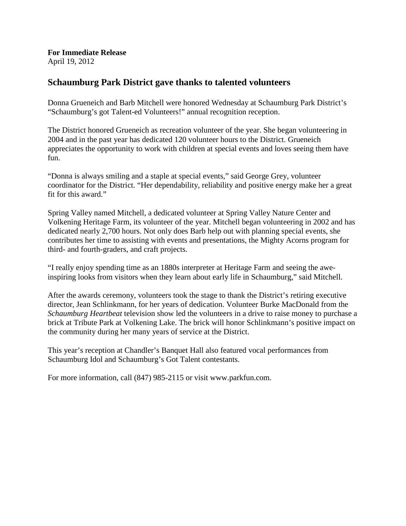**For Immediate Release** April 19, 2012

## **Schaumburg Park District gave thanks to talented volunteers**

Donna Grueneich and Barb Mitchell were honored Wednesday at Schaumburg Park District's "Schaumburg's got Talent-ed Volunteers!" annual recognition reception.

The District honored Grueneich as recreation volunteer of the year. She began volunteering in 2004 and in the past year has dedicated 120 volunteer hours to the District. Grueneich appreciates the opportunity to work with children at special events and loves seeing them have fun.

"Donna is always smiling and a staple at special events," said George Grey, volunteer coordinator for the District. "Her dependability, reliability and positive energy make her a great fit for this award."

Spring Valley named Mitchell, a dedicated volunteer at Spring Valley Nature Center and Volkening Heritage Farm, its volunteer of the year. Mitchell began volunteering in 2002 and has dedicated nearly 2,700 hours. Not only does Barb help out with planning special events, she contributes her time to assisting with events and presentations, the Mighty Acorns program for third- and fourth-graders, and craft projects.

"I really enjoy spending time as an 1880s interpreter at Heritage Farm and seeing the aweinspiring looks from visitors when they learn about early life in Schaumburg," said Mitchell.

After the awards ceremony, volunteers took the stage to thank the District's retiring executive director, Jean Schlinkmann, for her years of dedication. Volunteer Burke MacDonald from the *Schaumburg Heartbeat* television show led the volunteers in a drive to raise money to purchase a brick at Tribute Park at Volkening Lake. The brick will honor Schlinkmann's positive impact on the community during her many years of service at the District.

This year's reception at Chandler's Banquet Hall also featured vocal performances from Schaumburg Idol and Schaumburg's Got Talent contestants.

For more information, call (847) 985-2115 or visit www.parkfun.com.